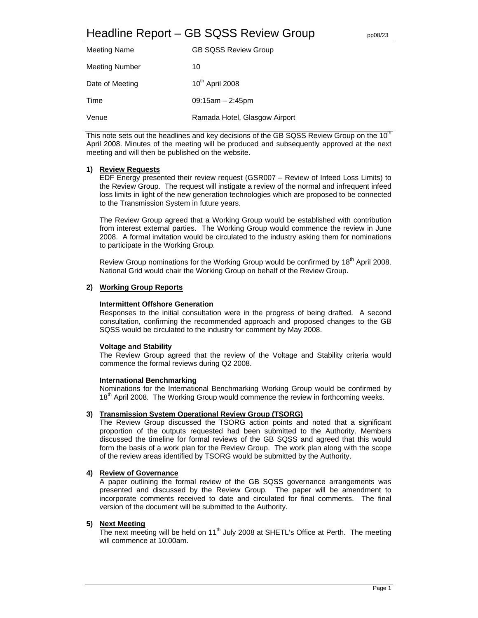# Headline Report – GB SQSS Review Group  $_{\text{pp08/23}}$

| Meeting Name    | <b>GB SQSS Review Group</b>   |
|-----------------|-------------------------------|
| Meeting Number  | 10                            |
| Date of Meeting | 10 <sup>th</sup> April 2008   |
| Time            | $09:15am - 2:45pm$            |
| Venue           | Ramada Hotel, Glasgow Airport |

This note sets out the headlines and key decisions of the GB SQSS Review Group on the  $10<sup>th</sup>$ April 2008. Minutes of the meeting will be produced and subsequently approved at the next meeting and will then be published on the website.

#### **1) Review Requests**

EDF Energy presented their review request (GSR007 – Review of Infeed Loss Limits) to the Review Group. The request will instigate a review of the normal and infrequent infeed loss limits in light of the new generation technologies which are proposed to be connected to the Transmission System in future years.

The Review Group agreed that a Working Group would be established with contribution from interest external parties. The Working Group would commence the review in June 2008. A formal invitation would be circulated to the industry asking them for nominations to participate in the Working Group.

Review Group nominations for the Working Group would be confirmed by 18<sup>th</sup> April 2008. National Grid would chair the Working Group on behalf of the Review Group.

#### **2) Working Group Reports**

#### **Intermittent Offshore Generation**

Responses to the initial consultation were in the progress of being drafted. A second consultation, confirming the recommended approach and proposed changes to the GB SQSS would be circulated to the industry for comment by May 2008.

#### **Voltage and Stability**

The Review Group agreed that the review of the Voltage and Stability criteria would commence the formal reviews during Q2 2008.

#### **International Benchmarking**

Nominations for the International Benchmarking Working Group would be confirmed by 18<sup>th</sup> April 2008. The Working Group would commence the review in forthcoming weeks.

## **3) Transmission System Operational Review Group (TSORG)**

The Review Group discussed the TSORG action points and noted that a significant proportion of the outputs requested had been submitted to the Authority. Members discussed the timeline for formal reviews of the GB SQSS and agreed that this would form the basis of a work plan for the Review Group. The work plan along with the scope of the review areas identified by TSORG would be submitted by the Authority.

#### **4) Review of Governance**

 A paper outlining the formal review of the GB SQSS governance arrangements was presented and discussed by the Review Group. The paper will be amendment to incorporate comments received to date and circulated for final comments. The final version of the document will be submitted to the Authority.

#### **5) Next Meeting**

The next meeting will be held on  $11<sup>th</sup>$  July 2008 at SHETL's Office at Perth. The meeting will commence at 10:00am.